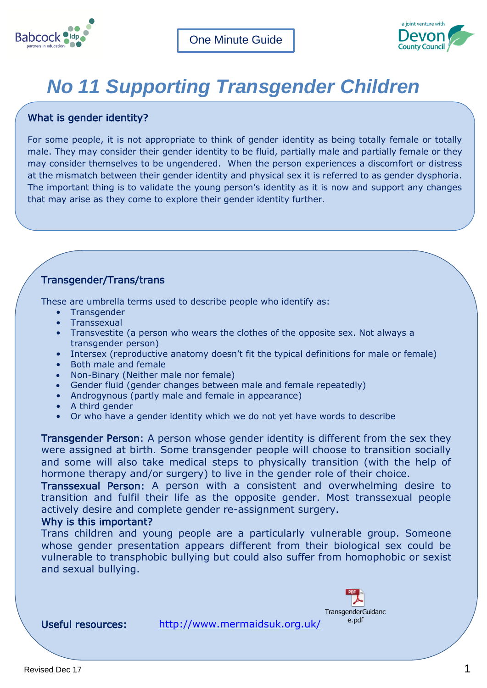



# *No 11 Supporting Transgender Children*

# What is gender identity?

For some people, it is not appropriate to think of gender identity as being totally female or totally male. They may consider their gender identity to be fluid, partially male and partially female or they may consider themselves to be ungendered. When the person experiences a discomfort or distress at the mismatch between their gender identity and physical sex it is referred to as gender dysphoria. The important thing is to validate the young person's identity as it is now and support any changes that may arise as they come to explore their gender identity further.

# Transgender/Trans/trans

These are umbrella terms used to describe people who identify as:

- Transgender
- **Transsexual**
- Transvestite (a person who wears the clothes of the opposite sex. Not always a transgender person)
- Intersex (reproductive anatomy doesn't fit the typical definitions for male or female)
- Both male and female
- Non-Binary (Neither male nor female)
- Gender fluid (gender changes between male and female repeatedly)
- Androgynous (partly male and female in appearance)
- A third gender
- Or who have a gender identity which we do not yet have words to describe

Transgender Person: A person whose gender identity is different from the sex they were assigned at birth. Some transgender people will choose to transition socially and some will also take medical steps to physically transition (with the help of hormone therapy and/or surgery) to live in the gender role of their choice.

Transsexual Person: A person with a consistent and overwhelming desire to transition and fulfil their life as the opposite gender. Most transsexual people actively desire and complete gender re-assignment surgery.

## Why is this important?

vulnerable to transphobic bullying but could also suffer from homophobic or sexist Trans children and young people are a particularly vulnerable group. Someone whose gender presentation appears different from their biological sex could be and sexual bullying.



Useful resources: <http://www.mermaidsuk.org.uk/>